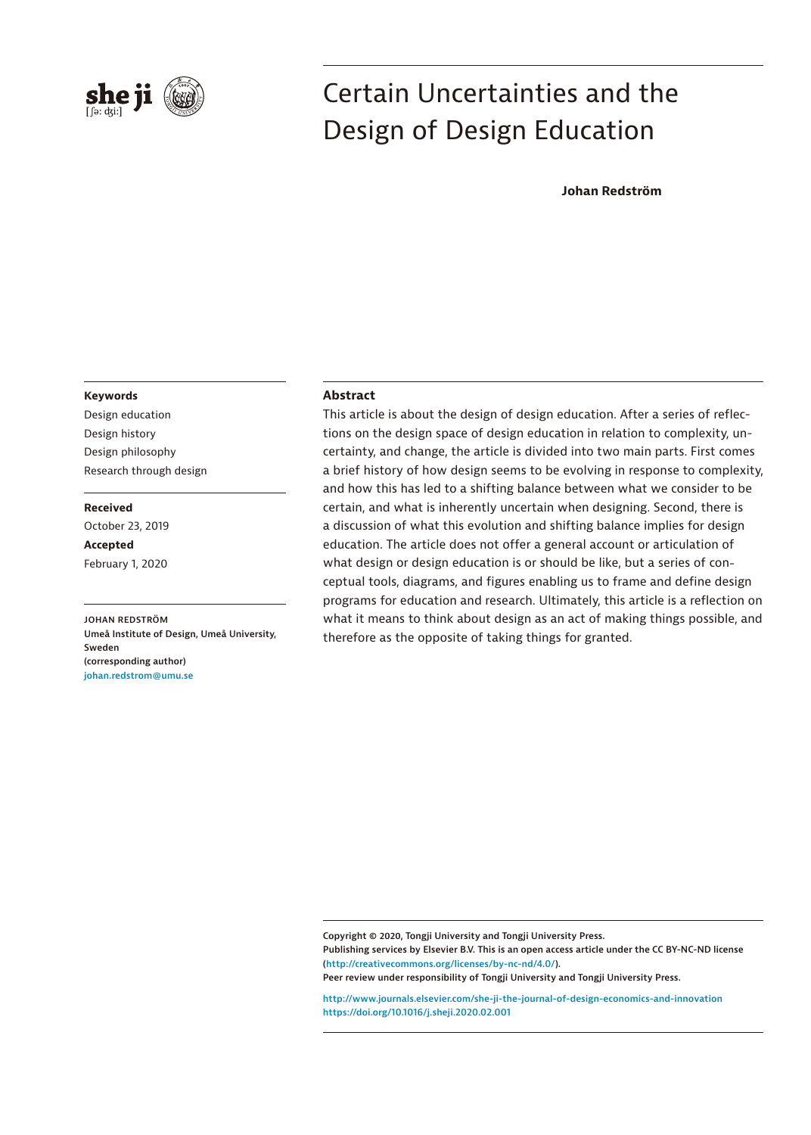

# Certain Uncertainties and the Design of Design Education

## **Johan Redström**

## **Keywords**

Design education Design history Design philosophy Research through design

## **Received**

October 23, 2019 **Accepted** February 1, 2020

**JOHAN REDSTRÖM Umeå Institute of Design, Umeå University, Sweden (corresponding author) [johan.redstrom@umu.se](mailto:johan.redstrom@umu.se)**

# **Abstract**

This article is about the design of design education. After a series of reflections on the design space of design education in relation to complexity, uncertainty, and change, the article is divided into two main parts. First comes a brief history of how design seems to be evolving in response to complexity, and how this has led to a shifting balance between what we consider to be certain, and what is inherently uncertain when designing. Second, there is a discussion of what this evolution and shifting balance implies for design education. The article does not offer a general account or articulation of what design or design education is or should be like, but a series of conceptual tools, diagrams, and figures enabling us to frame and define design programs for education and research. Ultimately, this article is a reflection on what it means to think about design as an act of making things possible, and therefore as the opposite of taking things for granted.

**Copyright © 2020, Tongji University and Tongji University Press.** 

**Publishing services by Elsevier B.V. This is an open access article under the CC BY-NC-ND license [\(http://creativecommons.org/licenses/by-nc-nd/4.0/](http://creativecommons.org/licenses/by-nc-nd/4.0/)).**

**Peer review under responsibility of Tongji University and Tongji University Press.**

**<http://www.journals.elsevier.com/she-ji-the-journal-of-design-economics-and-innovation> <https://doi.org/10.1016/j.sheji.2020.02.001>**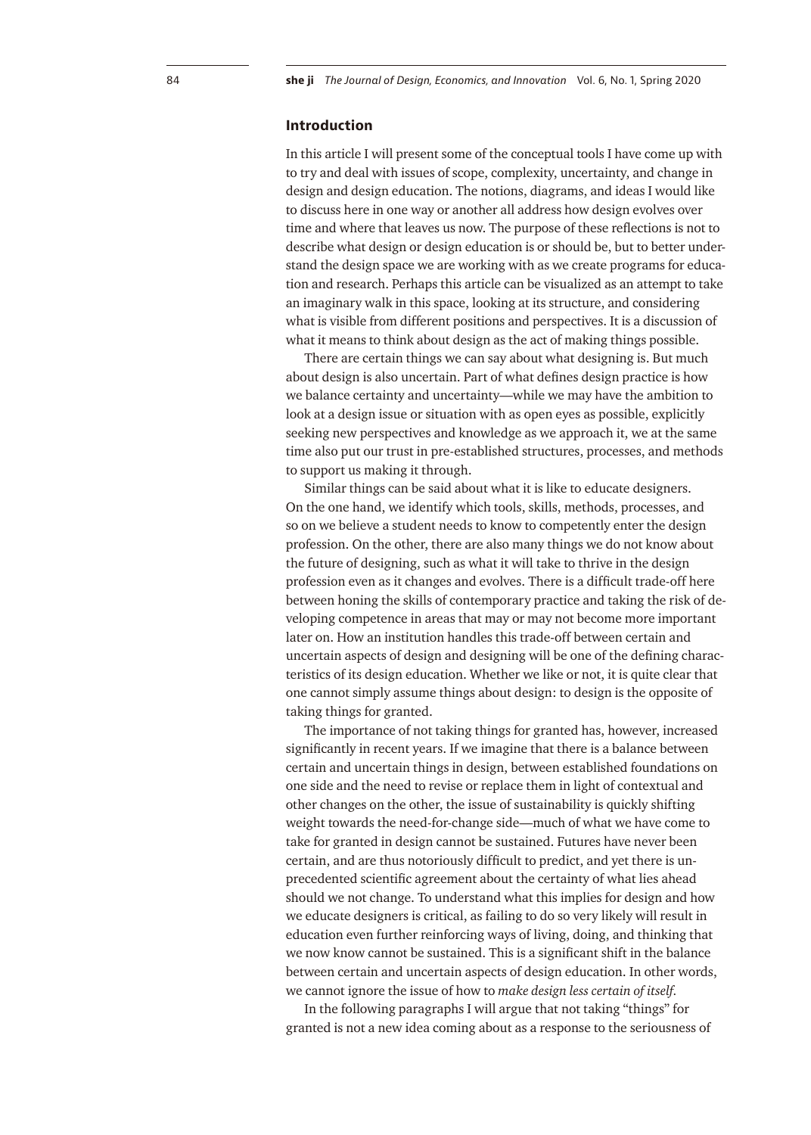## **Introduction**

In this article I will present some of the conceptual tools I have come up with to try and deal with issues of scope, complexity, uncertainty, and change in design and design education. The notions, diagrams, and ideas I would like to discuss here in one way or another all address how design evolves over time and where that leaves us now. The purpose of these reflections is not to describe what design or design education is or should be, but to better understand the design space we are working with as we create programs for education and research. Perhaps this article can be visualized as an attempt to take an imaginary walk in this space, looking at its structure, and considering what is visible from different positions and perspectives. It is a discussion of what it means to think about design as the act of making things possible.

There are certain things we can say about what designing is. But much about design is also uncertain. Part of what defines design practice is how we balance certainty and uncertainty—while we may have the ambition to look at a design issue or situation with as open eyes as possible, explicitly seeking new perspectives and knowledge as we approach it, we at the same time also put our trust in pre-established structures, processes, and methods to support us making it through.

Similar things can be said about what it is like to educate designers. On the one hand, we identify which tools, skills, methods, processes, and so on we believe a student needs to know to competently enter the design profession. On the other, there are also many things we do not know about the future of designing, such as what it will take to thrive in the design profession even as it changes and evolves. There is a difficult trade-off here between honing the skills of contemporary practice and taking the risk of developing competence in areas that may or may not become more important later on. How an institution handles this trade-off between certain and uncertain aspects of design and designing will be one of the defining characteristics of its design education. Whether we like or not, it is quite clear that one cannot simply assume things about design: to design is the opposite of taking things for granted.

The importance of not taking things for granted has, however, increased significantly in recent years. If we imagine that there is a balance between certain and uncertain things in design, between established foundations on one side and the need to revise or replace them in light of contextual and other changes on the other, the issue of sustainability is quickly shifting weight towards the need-for-change side—much of what we have come to take for granted in design cannot be sustained. Futures have never been certain, and are thus notoriously difficult to predict, and yet there is unprecedented scientific agreement about the certainty of what lies ahead should we not change. To understand what this implies for design and how we educate designers is critical, as failing to do so very likely will result in education even further reinforcing ways of living, doing, and thinking that we now know cannot be sustained. This is a significant shift in the balance between certain and uncertain aspects of design education. In other words, we cannot ignore the issue of how to *make design less certain of itself.*

In the following paragraphs I will argue that not taking "things" for granted is not a new idea coming about as a response to the seriousness of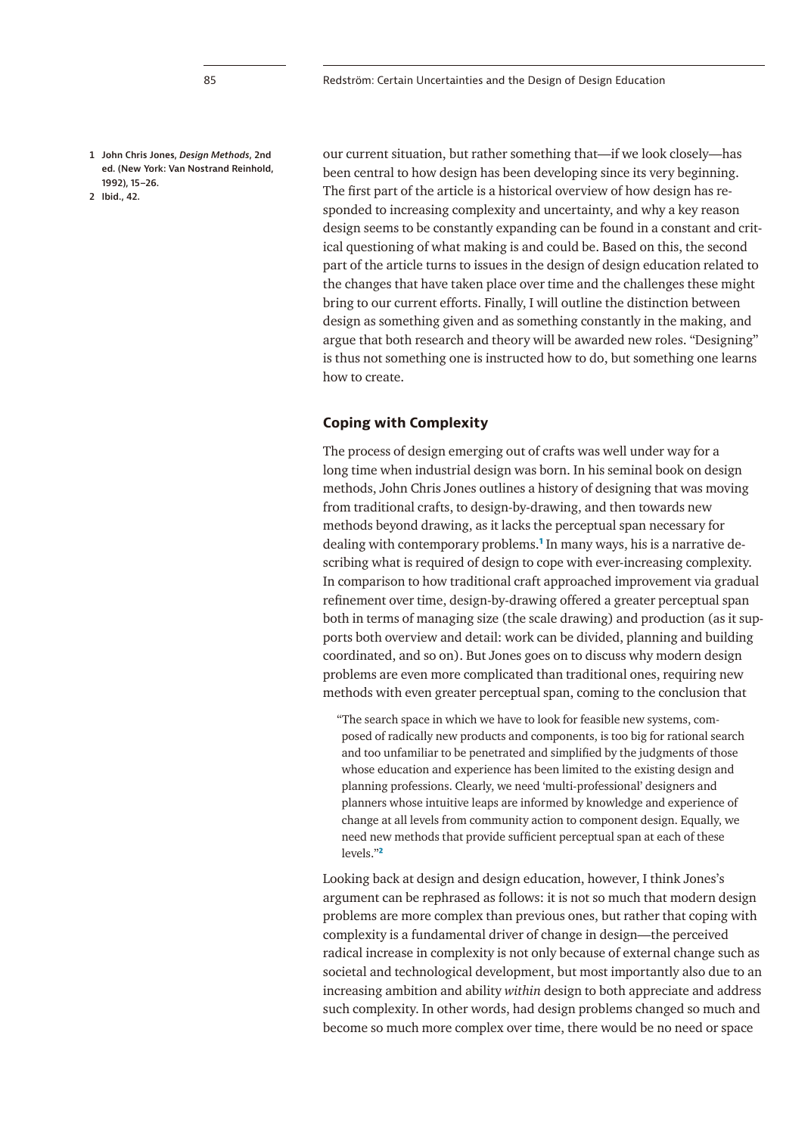- <span id="page-2-0"></span>**1 John Chris Jones,** *Design Methods***, 2nd ed. (New York: Van Nostrand Reinhold, 1992), 15–26.**
- <span id="page-2-1"></span>**2 Ibid., 42.**

our current situation, but rather something that—if we look closely—has been central to how design has been developing since its very beginning. The first part of the article is a historical overview of how design has responded to increasing complexity and uncertainty, and why a key reason design seems to be constantly expanding can be found in a constant and critical questioning of what making is and could be. Based on this, the second part of the article turns to issues in the design of design education related to the changes that have taken place over time and the challenges these might bring to our current efforts. Finally, I will outline the distinction between design as something given and as something constantly in the making, and argue that both research and theory will be awarded new roles. "Designing" is thus not something one is instructed how to do, but something one learns how to create.

# **Coping with Complexity**

The process of design emerging out of crafts was well under way for a long time when industrial design was born. In his seminal book on design methods, John Chris Jones outlines a history of designing that was moving from traditional crafts, to design-by-drawing, and then towards new methods beyond drawing, as it lacks the perceptual span necessary for dealing with contemporary problems.**[1](#page-2-0)** In many ways, his is a narrative describing what is required of design to cope with ever-increasing complexity. In comparison to how traditional craft approached improvement via gradual refinement over time, design-by-drawing offered a greater perceptual span both in terms of managing size (the scale drawing) and production (as it supports both overview and detail: work can be divided, planning and building coordinated, and so on). But Jones goes on to discuss why modern design problems are even more complicated than traditional ones, requiring new methods with even greater perceptual span, coming to the conclusion that

"The search space in which we have to look for feasible new systems, composed of radically new products and components, is too big for rational search and too unfamiliar to be penetrated and simplified by the judgments of those whose education and experience has been limited to the existing design and planning professions. Clearly, we need 'multi-professional' designers and planners whose intuitive leaps are informed by knowledge and experience of change at all levels from community action to component design. Equally, we need new methods that provide sufficient perceptual span at each of these levels."**[2](#page-2-1)**

Looking back at design and design education, however, I think Jones's argument can be rephrased as follows: it is not so much that modern design problems are more complex than previous ones, but rather that coping with complexity is a fundamental driver of change in design—the perceived radical increase in complexity is not only because of external change such as societal and technological development, but most importantly also due to an increasing ambition and ability *within* design to both appreciate and address such complexity. In other words, had design problems changed so much and become so much more complex over time, there would be no need or space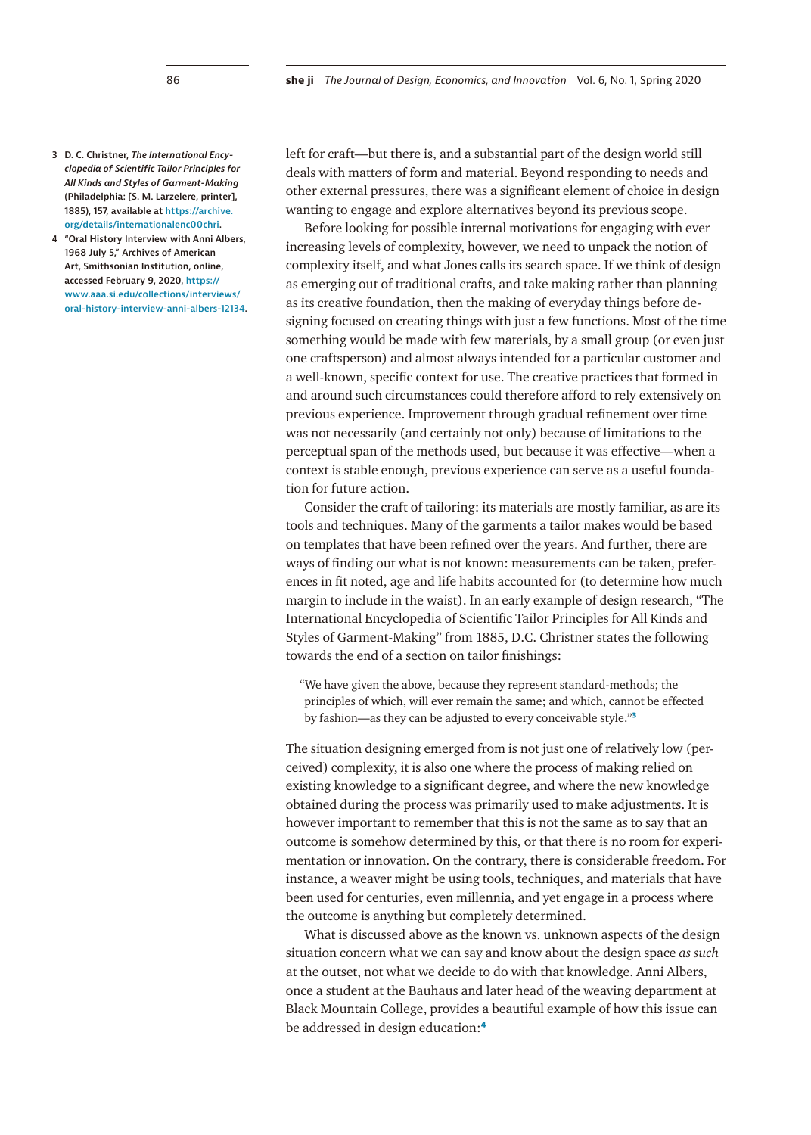- <span id="page-3-0"></span>**3 D. C. Christner,** *The International Encyclopedia of Scientific Tailor Principles for All Kinds and Styles of Garment-Making* **(Philadelphia: [S. M. Larzelere, printer], 1885), 157, available at [https://archive.](https://archive.org/details/internationalenc00chri) [org/details/internationalenc00chri](https://archive.org/details/internationalenc00chri).**
- <span id="page-3-1"></span>**4 "Oral History Interview with Anni Albers, 1968 July 5," Archives of American Art, Smithsonian Institution, online, accessed February 9, 2020, [https://](https://www.aaa.si.edu/collections/interviews/oral-history-interview-anni-albers-12134) [www.aaa.si.edu/collections/interviews/](https://www.aaa.si.edu/collections/interviews/oral-history-interview-anni-albers-12134) [oral-history-interview-anni-albers-12134](https://www.aaa.si.edu/collections/interviews/oral-history-interview-anni-albers-12134).**

left for craft—but there is, and a substantial part of the design world still deals with matters of form and material. Beyond responding to needs and other external pressures, there was a significant element of choice in design wanting to engage and explore alternatives beyond its previous scope.

Before looking for possible internal motivations for engaging with ever increasing levels of complexity, however, we need to unpack the notion of complexity itself, and what Jones calls its search space. If we think of design as emerging out of traditional crafts, and take making rather than planning as its creative foundation, then the making of everyday things before designing focused on creating things with just a few functions. Most of the time something would be made with few materials, by a small group (or even just one craftsperson) and almost always intended for a particular customer and a well-known, specific context for use. The creative practices that formed in and around such circumstances could therefore afford to rely extensively on previous experience. Improvement through gradual refinement over time was not necessarily (and certainly not only) because of limitations to the perceptual span of the methods used, but because it was effective—when a context is stable enough, previous experience can serve as a useful foundation for future action.

Consider the craft of tailoring: its materials are mostly familiar, as are its tools and techniques. Many of the garments a tailor makes would be based on templates that have been refined over the years. And further, there are ways of finding out what is not known: measurements can be taken, preferences in fit noted, age and life habits accounted for (to determine how much margin to include in the waist). In an early example of design research, "The International Encyclopedia of Scientific Tailor Principles for All Kinds and Styles of Garment-Making" from 1885, D.C. Christner states the following towards the end of a section on tailor finishings:

"We have given the above, because they represent standard-methods; the principles of which, will ever remain the same; and which, cannot be effected by fashion—as they can be adjusted to every conceivable style."**[3](#page-3-0)**

The situation designing emerged from is not just one of relatively low (perceived) complexity, it is also one where the process of making relied on existing knowledge to a significant degree, and where the new knowledge obtained during the process was primarily used to make adjustments. It is however important to remember that this is not the same as to say that an outcome is somehow determined by this, or that there is no room for experimentation or innovation. On the contrary, there is considerable freedom. For instance, a weaver might be using tools, techniques, and materials that have been used for centuries, even millennia, and yet engage in a process where the outcome is anything but completely determined.

What is discussed above as the known vs. unknown aspects of the design situation concern what we can say and know about the design space *as such*  at the outset, not what we decide to do with that knowledge. Anni Albers, once a student at the Bauhaus and later head of the weaving department at Black Mountain College, provides a beautiful example of how this issue can be addressed in design education:**[4](#page-3-1)**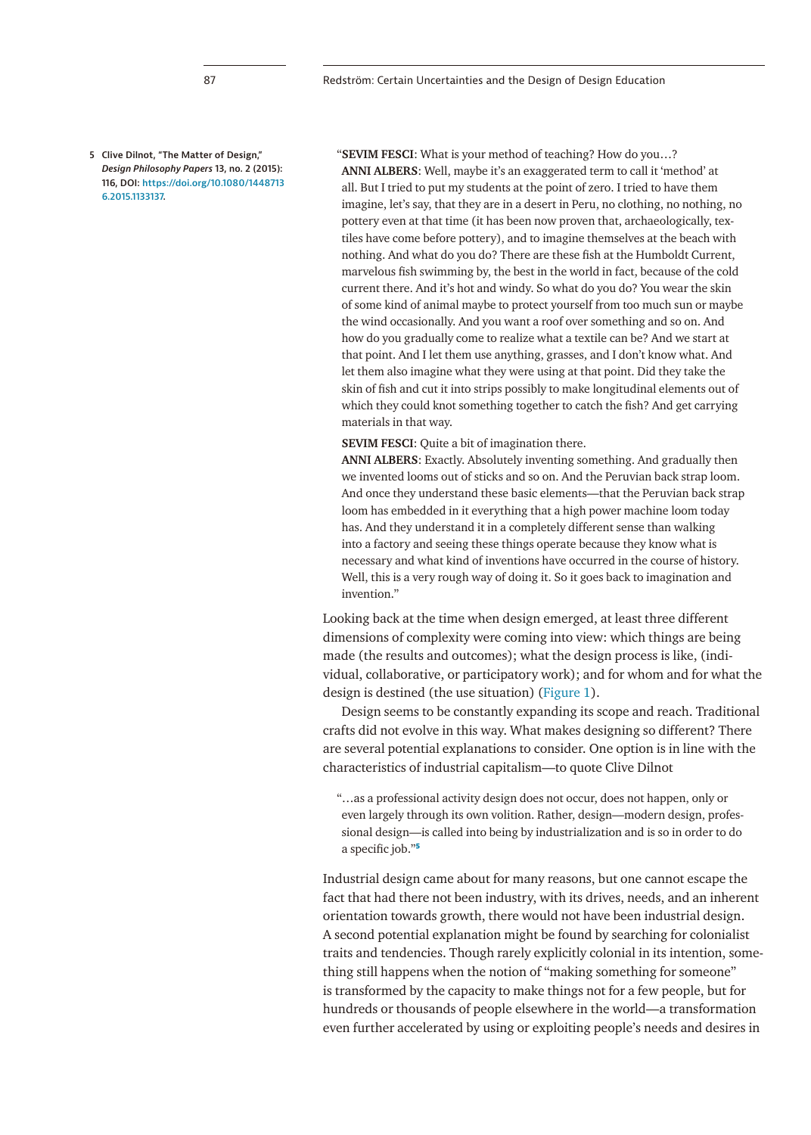<span id="page-4-0"></span>**5 Clive Dilnot, "The Matter of Design,"**  *Design Philosophy Papers* **13, no. 2 (2015): 116, DOI: [https://doi.org/10.1080/1448713](https://doi.org/10.1080/14487136.2015.1133137) [6.2015.1133137](https://doi.org/10.1080/14487136.2015.1133137).**

"**SEVIM FESCI**: What is your method of teaching? How do you…? **ANNI ALBERS**: Well, maybe it's an exaggerated term to call it 'method' at all. But I tried to put my students at the point of zero. I tried to have them imagine, let's say, that they are in a desert in Peru, no clothing, no nothing, no pottery even at that time (it has been now proven that, archaeologically, textiles have come before pottery), and to imagine themselves at the beach with nothing. And what do you do? There are these fish at the Humboldt Current, marvelous fish swimming by, the best in the world in fact, because of the cold current there. And it's hot and windy. So what do you do? You wear the skin of some kind of animal maybe to protect yourself from too much sun or maybe the wind occasionally. And you want a roof over something and so on. And how do you gradually come to realize what a textile can be? And we start at that point. And I let them use anything, grasses, and I don't know what. And let them also imagine what they were using at that point. Did they take the skin of fish and cut it into strips possibly to make longitudinal elements out of which they could knot something together to catch the fish? And get carrying materials in that way.

**SEVIM FESCI**: Quite a bit of imagination there.

**ANNI ALBERS**: Exactly. Absolutely inventing something. And gradually then we invented looms out of sticks and so on. And the Peruvian back strap loom. And once they understand these basic elements—that the Peruvian back strap loom has embedded in it everything that a high power machine loom today has. And they understand it in a completely different sense than walking into a factory and seeing these things operate because they know what is necessary and what kind of inventions have occurred in the course of history. Well, this is a very rough way of doing it. So it goes back to imagination and invention."

Looking back at the time when design emerged, at least three different dimensions of complexity were coming into view: which things are being made (the results and outcomes); what the design process is like, (individual, collaborative, or participatory work); and for whom and for what the design is destined (the use situation) ([Figure 1](#page-5-0)).

Design seems to be constantly expanding its scope and reach. Traditional crafts did not evolve in this way. What makes designing so different? There are several potential explanations to consider. One option is in line with the characteristics of industrial capitalism—to quote Clive Dilnot

"…as a professional activity design does not occur, does not happen, only or even largely through its own volition. Rather, design—modern design, professional design—is called into being by industrialization and is so in order to do a specific job."**[5](#page-4-0)**

Industrial design came about for many reasons, but one cannot escape the fact that had there not been industry, with its drives, needs, and an inherent orientation towards growth, there would not have been industrial design. A second potential explanation might be found by searching for colonialist traits and tendencies. Though rarely explicitly colonial in its intention, something still happens when the notion of "making something for someone" is transformed by the capacity to make things not for a few people, but for hundreds or thousands of people elsewhere in the world—a transformation even further accelerated by using or exploiting people's needs and desires in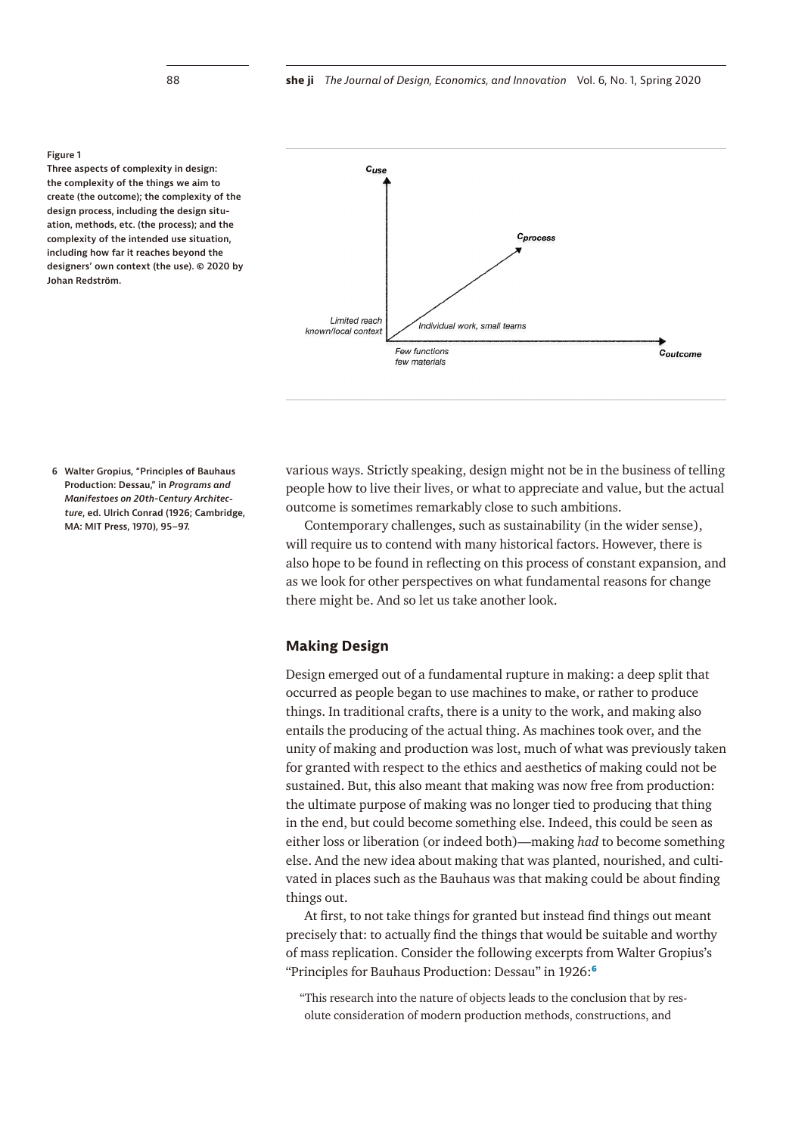<span id="page-5-0"></span>**Three aspects of complexity in design: the complexity of the things we aim to create (the outcome); the complexity of the design process, including the design situation, methods, etc. (the process); and the complexity of the intended use situation, including how far it reaches beyond the designers' own context (the use). © 2020 by Johan Redström.**



<span id="page-5-1"></span>**6 Walter Gropius, "Principles of Bauhaus Production: Dessau," in** *Programs and Manifestoes on 20th-Century Architecture***, ed. Ulrich Conrad (1926; Cambridge, MA: MIT Press, 1970), 95–97.**

various ways. Strictly speaking, design might not be in the business of telling people how to live their lives, or what to appreciate and value, but the actual outcome is sometimes remarkably close to such ambitions.

Contemporary challenges, such as sustainability (in the wider sense), will require us to contend with many historical factors. However, there is also hope to be found in reflecting on this process of constant expansion, and as we look for other perspectives on what fundamental reasons for change there might be. And so let us take another look.

## **Making Design**

Design emerged out of a fundamental rupture in making: a deep split that occurred as people began to use machines to make, or rather to produce things. In traditional crafts, there is a unity to the work, and making also entails the producing of the actual thing. As machines took over, and the unity of making and production was lost, much of what was previously taken for granted with respect to the ethics and aesthetics of making could not be sustained. But, this also meant that making was now free from production: the ultimate purpose of making was no longer tied to producing that thing in the end, but could become something else. Indeed, this could be seen as either loss or liberation (or indeed both)—making *had* to become something else. And the new idea about making that was planted, nourished, and cultivated in places such as the Bauhaus was that making could be about finding things out.

At first, to not take things for granted but instead find things out meant precisely that: to actually find the things that would be suitable and worthy of mass replication. Consider the following excerpts from Walter Gropius's "Principles for Bauhaus Production: Dessau" in 1926:**[6](#page-5-1)**

"This research into the nature of objects leads to the conclusion that by resolute consideration of modern production methods, constructions, and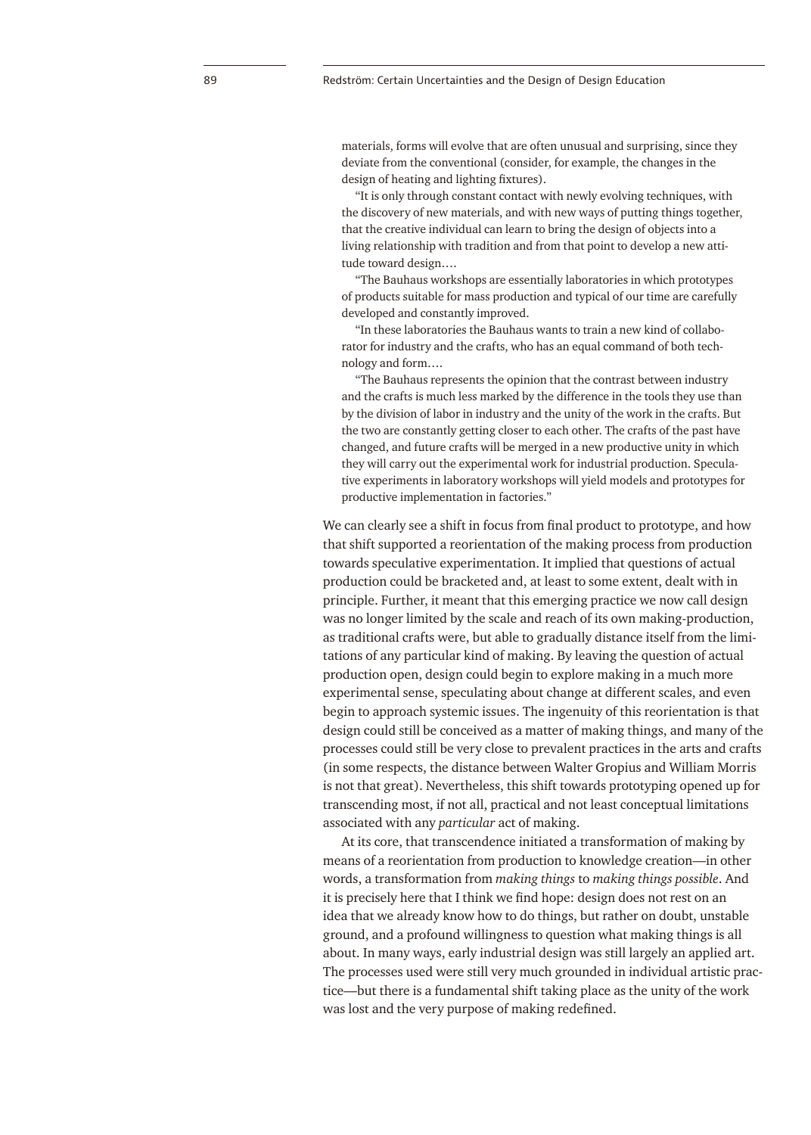materials, forms will evolve that are often unusual and surprising, since they deviate from the conventional (consider, for example, the changes in the design of heating and lighting fixtures).

"It is only through constant contact with newly evolving techniques, with the discovery of new materials, and with new ways of putting things together, that the creative individual can learn to bring the design of objects into a living relationship with tradition and from that point to develop a new attitude toward design….

"The Bauhaus workshops are essentially laboratories in which prototypes of products suitable for mass production and typical of our time are carefully developed and constantly improved.

"In these laboratories the Bauhaus wants to train a new kind of collaborator for industry and the crafts, who has an equal command of both technology and form….

"The Bauhaus represents the opinion that the contrast between industry and the crafts is much less marked by the difference in the tools they use than by the division of labor in industry and the unity of the work in the crafts. But the two are constantly getting closer to each other. The crafts of the past have changed, and future crafts will be merged in a new productive unity in which they will carry out the experimental work for industrial production. Speculative experiments in laboratory workshops will yield models and prototypes for productive implementation in factories."

We can clearly see a shift in focus from final product to prototype, and how that shift supported a reorientation of the making process from production towards speculative experimentation. It implied that questions of actual production could be bracketed and, at least to some extent, dealt with in principle. Further, it meant that this emerging practice we now call design was no longer limited by the scale and reach of its own making-production, as traditional crafts were, but able to gradually distance itself from the limitations of any particular kind of making. By leaving the question of actual production open, design could begin to explore making in a much more experimental sense, speculating about change at different scales, and even begin to approach systemic issues. The ingenuity of this reorientation is that design could still be conceived as a matter of making things, and many of the processes could still be very close to prevalent practices in the arts and crafts (in some respects, the distance between Walter Gropius and William Morris is not that great). Nevertheless, this shift towards prototyping opened up for transcending most, if not all, practical and not least conceptual limitations associated with any *particular* act of making.

At its core, that transcendence initiated a transformation of making by means of a reorientation from production to knowledge creation—in other words, a transformation from *making things* to *making things possible*. And it is precisely here that I think we find hope: design does not rest on an idea that we already know how to do things, but rather on doubt, unstable ground, and a profound willingness to question what making things is all about. In many ways, early industrial design was still largely an applied art. The processes used were still very much grounded in individual artistic practice—but there is a fundamental shift taking place as the unity of the work was lost and the very purpose of making redefined.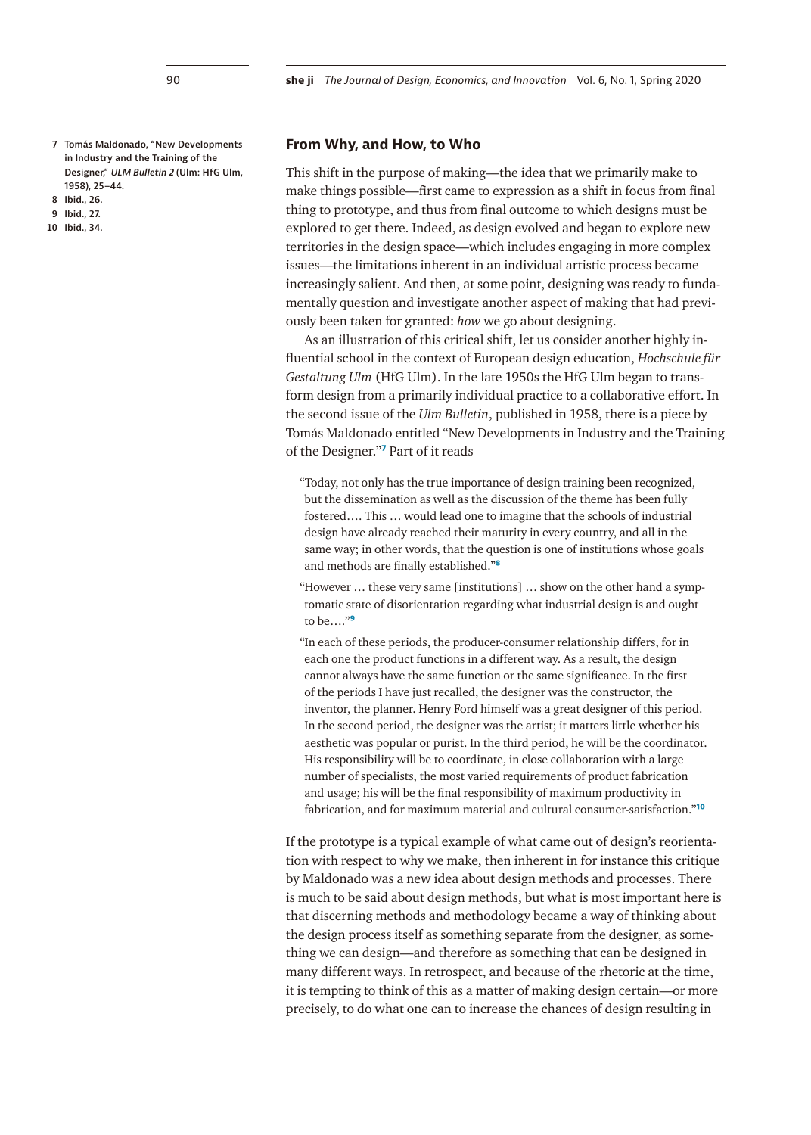- <span id="page-7-0"></span>**7 Tomás Maldonado, "New Developments in Industry and the Training of the Designer,"** *ULM Bulletin 2* **(Ulm: HfG Ulm, 1958), 25–44.**
- <span id="page-7-1"></span>**8 Ibid., 26.**
- <span id="page-7-3"></span><span id="page-7-2"></span>**9 Ibid., 27.**
- **10 Ibid., 34.**

# **From Why, and How, to Who**

This shift in the purpose of making—the idea that we primarily make to make things possible—first came to expression as a shift in focus from final thing to prototype, and thus from final outcome to which designs must be explored to get there. Indeed, as design evolved and began to explore new territories in the design space—which includes engaging in more complex issues—the limitations inherent in an individual artistic process became increasingly salient. And then, at some point, designing was ready to fundamentally question and investigate another aspect of making that had previously been taken for granted: *how* we go about designing.

As an illustration of this critical shift, let us consider another highly influential school in the context of European design education, *Hochschule für Gestaltung Ulm* (HfG Ulm). In the late 1950s the HfG Ulm began to transform design from a primarily individual practice to a collaborative effort. In the second issue of the *Ulm Bulletin*, published in 1958, there is a piece by Tomás Maldonado entitled "New Developments in Industry and the Training of the Designer."**[7](#page-7-0)** Part of it reads

"Today, not only has the true importance of design training been recognized, but the dissemination as well as the discussion of the theme has been fully fostered…. This … would lead one to imagine that the schools of industrial design have already reached their maturity in every country, and all in the same way; in other words, that the question is one of institutions whose goals and methods are finally established."**[8](#page-7-1)**

- "However … these very same [institutions] … show on the other hand a symptomatic state of disorientation regarding what industrial design is and ought to be…."**[9](#page-7-2)**
- "In each of these periods, the producer-consumer relationship differs, for in each one the product functions in a different way. As a result, the design cannot always have the same function or the same significance. In the first of the periods I have just recalled, the designer was the constructor, the inventor, the planner. Henry Ford himself was a great designer of this period. In the second period, the designer was the artist; it matters little whether his aesthetic was popular or purist. In the third period, he will be the coordinator. His responsibility will be to coordinate, in close collaboration with a large number of specialists, the most varied requirements of product fabrication and usage; his will be the final responsibility of maximum productivity in fabrication, and for maximum material and cultural consumer-satisfaction."**[10](#page-7-3)**

If the prototype is a typical example of what came out of design's reorientation with respect to why we make, then inherent in for instance this critique by Maldonado was a new idea about design methods and processes. There is much to be said about design methods, but what is most important here is that discerning methods and methodology became a way of thinking about the design process itself as something separate from the designer, as something we can design—and therefore as something that can be designed in many different ways. In retrospect, and because of the rhetoric at the time, it is tempting to think of this as a matter of making design certain—or more precisely, to do what one can to increase the chances of design resulting in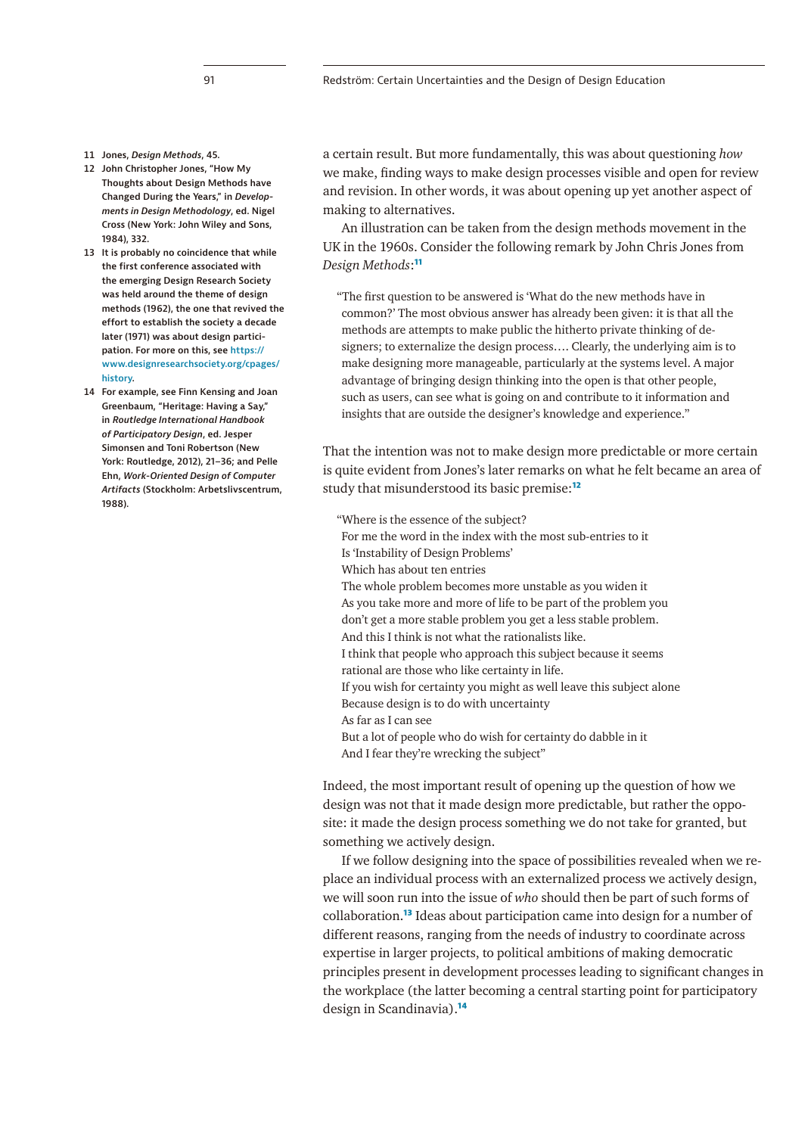- <span id="page-8-0"></span>**11 Jones,** *Design Methods***, 45.**
- <span id="page-8-1"></span>**12 John Christopher Jones, "How My Thoughts about Design Methods have Changed During the Years," in** *Developments in Design Methodology***, ed. Nigel Cross (New York: John Wiley and Sons, 1984), 332.**
- <span id="page-8-2"></span>**13 It is probably no coincidence that while the first conference associated with the emerging Design Research Society was held around the theme of design methods (1962), the one that revived the effort to establish the society a decade later (1971) was about design participation. For more on this, see [https://](https://www.designresearchsociety.org/cpages/history) [www.designresearchsociety.org/cpages/](https://www.designresearchsociety.org/cpages/history) [history](https://www.designresearchsociety.org/cpages/history).**
- <span id="page-8-3"></span>**14 For example, see Finn Kensing and Joan Greenbaum, "Heritage: Having a Say," in** *Routledge International Handbook of Participatory Design***, ed. Jesper Simonsen and Toni Robertson (New York: Routledge, 2012), 21–36; and Pelle Ehn,** *Work-Oriented Design of Computer Artifacts* **(Stockholm: Arbetslivscentrum, 1988).**

a certain result. But more fundamentally, this was about questioning *how* we make, finding ways to make design processes visible and open for review and revision. In other words, it was about opening up yet another aspect of making to alternatives.

An illustration can be taken from the design methods movement in the UK in the 1960s. Consider the following remark by John Chris Jones from *Design Methods*:**[11](#page-8-0)**

"The first question to be answered is 'What do the new methods have in common?' The most obvious answer has already been given: it is that all the methods are attempts to make public the hitherto private thinking of designers; to externalize the design process…. Clearly, the underlying aim is to make designing more manageable, particularly at the systems level. A major advantage of bringing design thinking into the open is that other people, such as users, can see what is going on and contribute to it information and insights that are outside the designer's knowledge and experience."

That the intention was not to make design more predictable or more certain is quite evident from Jones's later remarks on what he felt became an area of study that misunderstood its basic premise:**[12](#page-8-1)**

"Where is the essence of the subject? For me the word in the index with the most sub-entries to it Is 'Instability of Design Problems' Which has about ten entries The whole problem becomes more unstable as you widen it As you take more and more of life to be part of the problem you don't get a more stable problem you get a less stable problem. And this I think is not what the rationalists like. I think that people who approach this subject because it seems rational are those who like certainty in life. If you wish for certainty you might as well leave this subject alone Because design is to do with uncertainty As far as I can see But a lot of people who do wish for certainty do dabble in it

And I fear they're wrecking the subject"

Indeed, the most important result of opening up the question of how we design was not that it made design more predictable, but rather the opposite: it made the design process something we do not take for granted, but something we actively design.

If we follow designing into the space of possibilities revealed when we replace an individual process with an externalized process we actively design, we will soon run into the issue of *who* should then be part of such forms of collaboration.**[13](#page-8-2)** Ideas about participation came into design for a number of different reasons, ranging from the needs of industry to coordinate across expertise in larger projects, to political ambitions of making democratic principles present in development processes leading to significant changes in the workplace (the latter becoming a central starting point for participatory design in Scandinavia).**[14](#page-8-3)**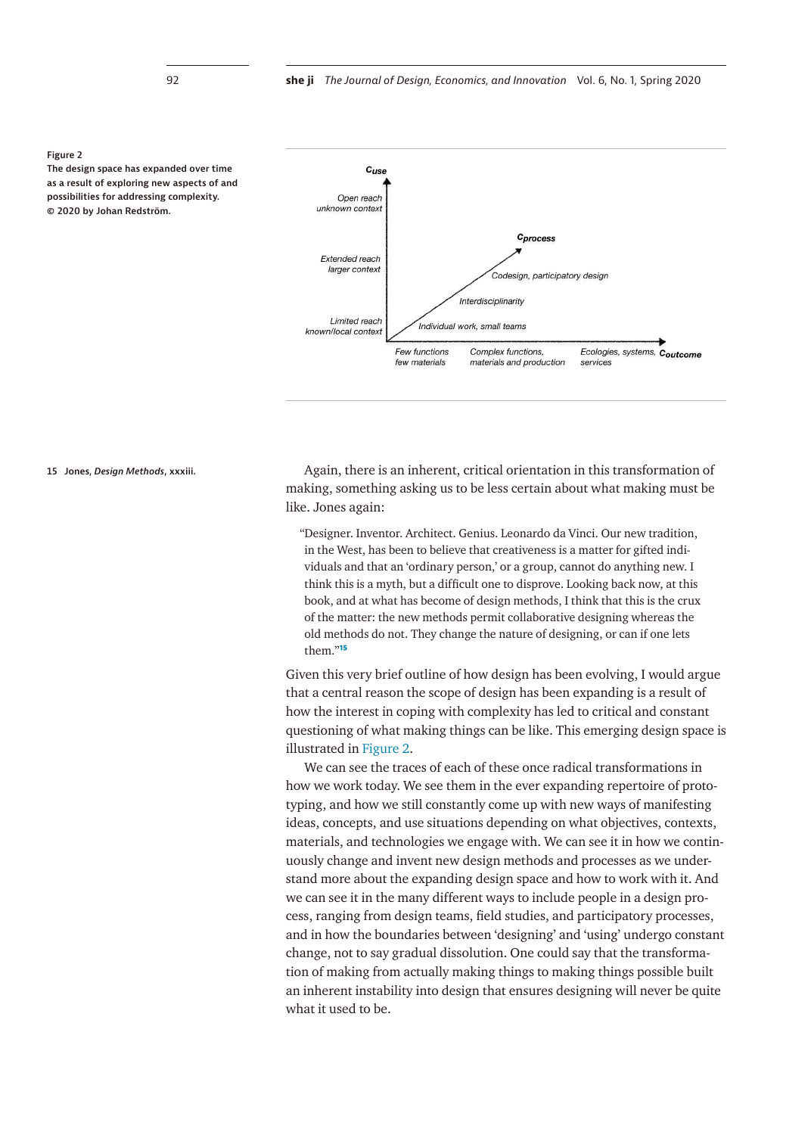<span id="page-9-1"></span>**The design space has expanded over time as a result of exploring new aspects of and possibilities for addressing complexity. © 2020 by Johan Redström.**



#### <span id="page-9-0"></span>**15 Jones,** *Design Methods***, xxxiii.**

Again, there is an inherent, critical orientation in this transformation of making, something asking us to be less certain about what making must be like. Jones again:

"Designer. Inventor. Architect. Genius. Leonardo da Vinci. Our new tradition, in the West, has been to believe that creativeness is a matter for gifted individuals and that an 'ordinary person,' or a group, cannot do anything new. I think this is a myth, but a difficult one to disprove. Looking back now, at this book, and at what has become of design methods, I think that this is the crux of the matter: the new methods permit collaborative designing whereas the old methods do not. They change the nature of designing, or can if one lets them."**[15](#page-9-0)**

Given this very brief outline of how design has been evolving, I would argue that a central reason the scope of design has been expanding is a result of how the interest in coping with complexity has led to critical and constant questioning of what making things can be like. This emerging design space is illustrated in [Figure 2](#page-9-1).

We can see the traces of each of these once radical transformations in how we work today. We see them in the ever expanding repertoire of prototyping, and how we still constantly come up with new ways of manifesting ideas, concepts, and use situations depending on what objectives, contexts, materials, and technologies we engage with. We can see it in how we continuously change and invent new design methods and processes as we understand more about the expanding design space and how to work with it. And we can see it in the many different ways to include people in a design process, ranging from design teams, field studies, and participatory processes, and in how the boundaries between 'designing' and 'using' undergo constant change, not to say gradual dissolution. One could say that the transformation of making from actually making things to making things possible built an inherent instability into design that ensures designing will never be quite what it used to be.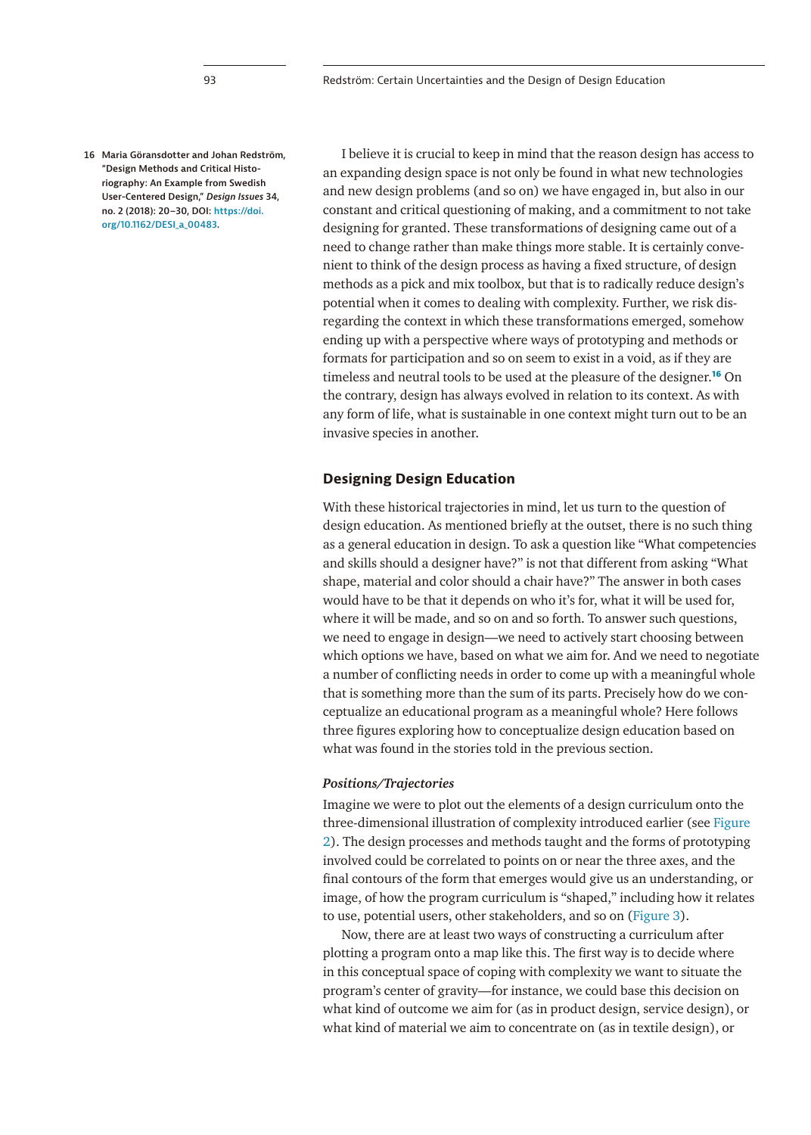<span id="page-10-0"></span>**16 Maria Göransdotter and Johan Redström, "Design Methods and Critical Historiography: An Example from Swedish User-Centered Design,"** *Design Issues* **34, no. 2 (2018): 20–30, DOI: [https://doi.](https://doi.org/10.1162/DESI_a_00483) [org/10.1162/DESI\\_a\\_00483.](https://doi.org/10.1162/DESI_a_00483)**

I believe it is crucial to keep in mind that the reason design has access to an expanding design space is not only be found in what new technologies and new design problems (and so on) we have engaged in, but also in our constant and critical questioning of making, and a commitment to not take designing for granted. These transformations of designing came out of a need to change rather than make things more stable. It is certainly convenient to think of the design process as having a fixed structure, of design methods as a pick and mix toolbox, but that is to radically reduce design's potential when it comes to dealing with complexity. Further, we risk disregarding the context in which these transformations emerged, somehow ending up with a perspective where ways of prototyping and methods or formats for participation and so on seem to exist in a void, as if they are timeless and neutral tools to be used at the pleasure of the designer.**[16](#page-10-0)** On the contrary, design has always evolved in relation to its context. As with any form of life, what is sustainable in one context might turn out to be an invasive species in another.

# **Designing Design Education**

With these historical trajectories in mind, let us turn to the question of design education. As mentioned briefly at the outset, there is no such thing as a general education in design. To ask a question like "What competencies and skills should a designer have?" is not that different from asking "What shape, material and color should a chair have?" The answer in both cases would have to be that it depends on who it's for, what it will be used for, where it will be made, and so on and so forth. To answer such questions, we need to engage in design—we need to actively start choosing between which options we have, based on what we aim for. And we need to negotiate a number of conflicting needs in order to come up with a meaningful whole that is something more than the sum of its parts. Precisely how do we conceptualize an educational program as a meaningful whole? Here follows three figures exploring how to conceptualize design education based on what was found in the stories told in the previous section.

## *Positions/Trajectories*

Imagine we were to plot out the elements of a design curriculum onto the three-dimensional illustration of complexity introduced earlier (see [Figure](#page-9-1)  [2](#page-9-1)). The design processes and methods taught and the forms of prototyping involved could be correlated to points on or near the three axes, and the final contours of the form that emerges would give us an understanding, or image, of how the program curriculum is "shaped," including how it relates to use, potential users, other stakeholders, and so on ([Figure 3\)](#page-11-0).

Now, there are at least two ways of constructing a curriculum after plotting a program onto a map like this. The first way is to decide where in this conceptual space of coping with complexity we want to situate the program's center of gravity—for instance, we could base this decision on what kind of outcome we aim for (as in product design, service design), or what kind of material we aim to concentrate on (as in textile design), or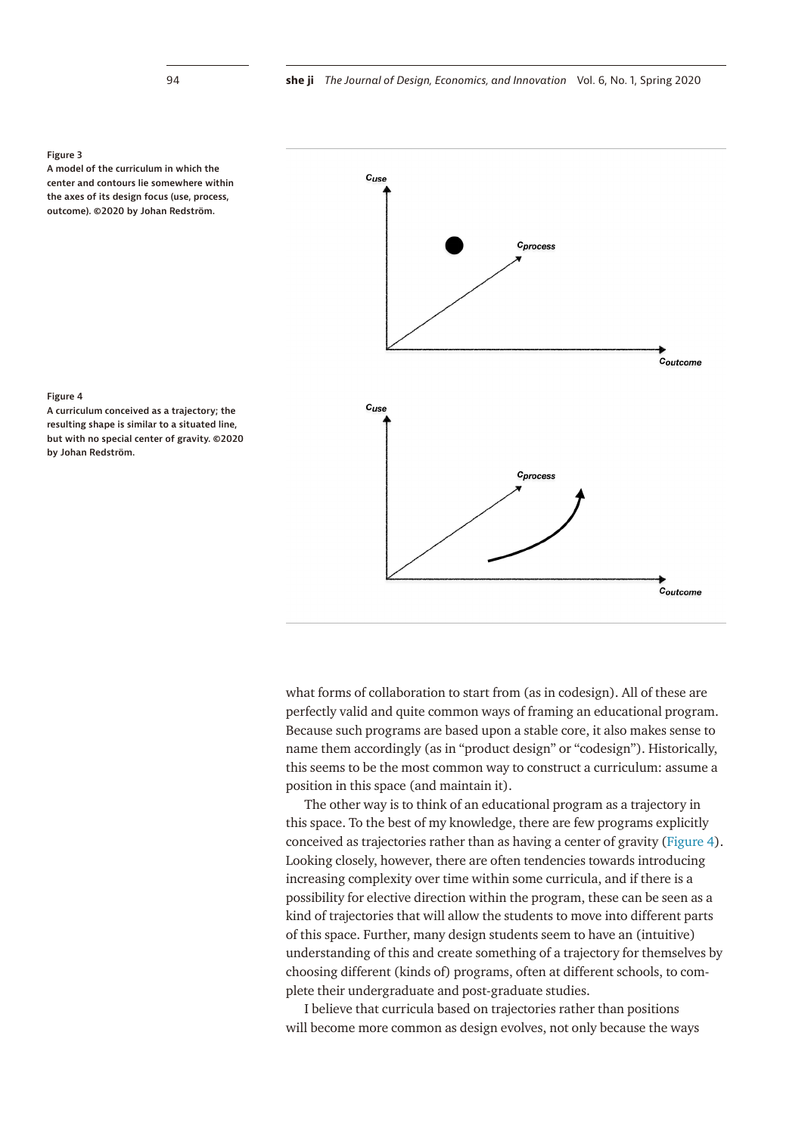<span id="page-11-0"></span>**A model of the curriculum in which the center and contours lie somewhere within the axes of its design focus (use, process, outcome). ©2020 by Johan Redström.**



<span id="page-11-1"></span>**Figure 4 A curriculum conceived as a trajectory; the** 

**resulting shape is similar to a situated line, but with no special center of gravity. ©2020 by Johan Redström.**

> what forms of collaboration to start from (as in codesign). All of these are perfectly valid and quite common ways of framing an educational program. Because such programs are based upon a stable core, it also makes sense to name them accordingly (as in "product design" or "codesign"). Historically, this seems to be the most common way to construct a curriculum: assume a position in this space (and maintain it).

The other way is to think of an educational program as a trajectory in this space. To the best of my knowledge, there are few programs explicitly conceived as trajectories rather than as having a center of gravity ([Figure 4\)](#page-11-1). Looking closely, however, there are often tendencies towards introducing increasing complexity over time within some curricula, and if there is a possibility for elective direction within the program, these can be seen as a kind of trajectories that will allow the students to move into different parts of this space. Further, many design students seem to have an (intuitive) understanding of this and create something of a trajectory for themselves by choosing different (kinds of) programs, often at different schools, to complete their undergraduate and post-graduate studies.

I believe that curricula based on trajectories rather than positions will become more common as design evolves, not only because the ways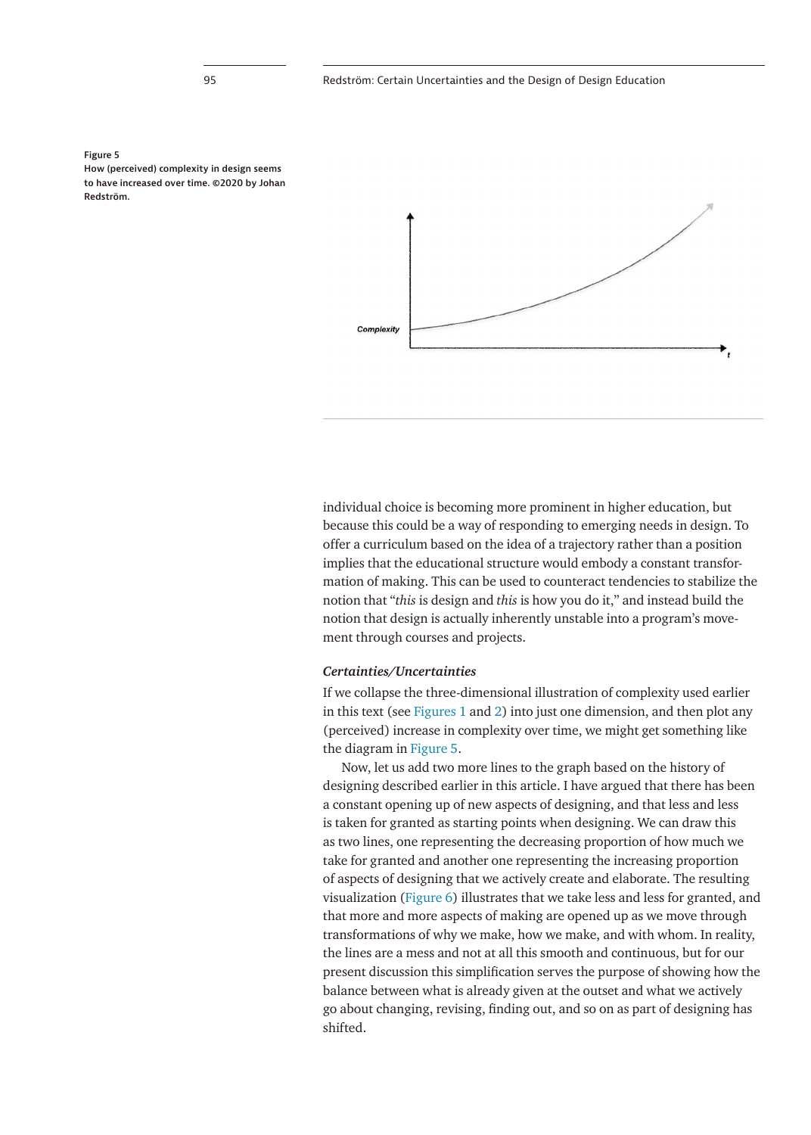<span id="page-12-0"></span>

Complexity

individual choice is becoming more prominent in higher education, but because this could be a way of responding to emerging needs in design. To offer a curriculum based on the idea of a trajectory rather than a position implies that the educational structure would embody a constant transformation of making. This can be used to counteract tendencies to stabilize the notion that "*this* is design and *this* is how you do it," and instead build the notion that design is actually inherently unstable into a program's movement through courses and projects.

# *Certainties/Uncertainties*

If we collapse the three-dimensional illustration of complexity used earlier in this text (see [Figures 1](#page-5-0) and [2](#page-9-1)) into just one dimension, and then plot any (perceived) increase in complexity over time, we might get something like the diagram in [Figure 5](#page-12-0).

Now, let us add two more lines to the graph based on the history of designing described earlier in this article. I have argued that there has been a constant opening up of new aspects of designing, and that less and less is taken for granted as starting points when designing. We can draw this as two lines, one representing the decreasing proportion of how much we take for granted and another one representing the increasing proportion of aspects of designing that we actively create and elaborate. The resulting visualization ([Figure 6](#page-13-0)) illustrates that we take less and less for granted, and that more and more aspects of making are opened up as we move through transformations of why we make, how we make, and with whom. In reality, the lines are a mess and not at all this smooth and continuous, but for our present discussion this simplification serves the purpose of showing how the balance between what is already given at the outset and what we actively go about changing, revising, finding out, and so on as part of designing has shifted.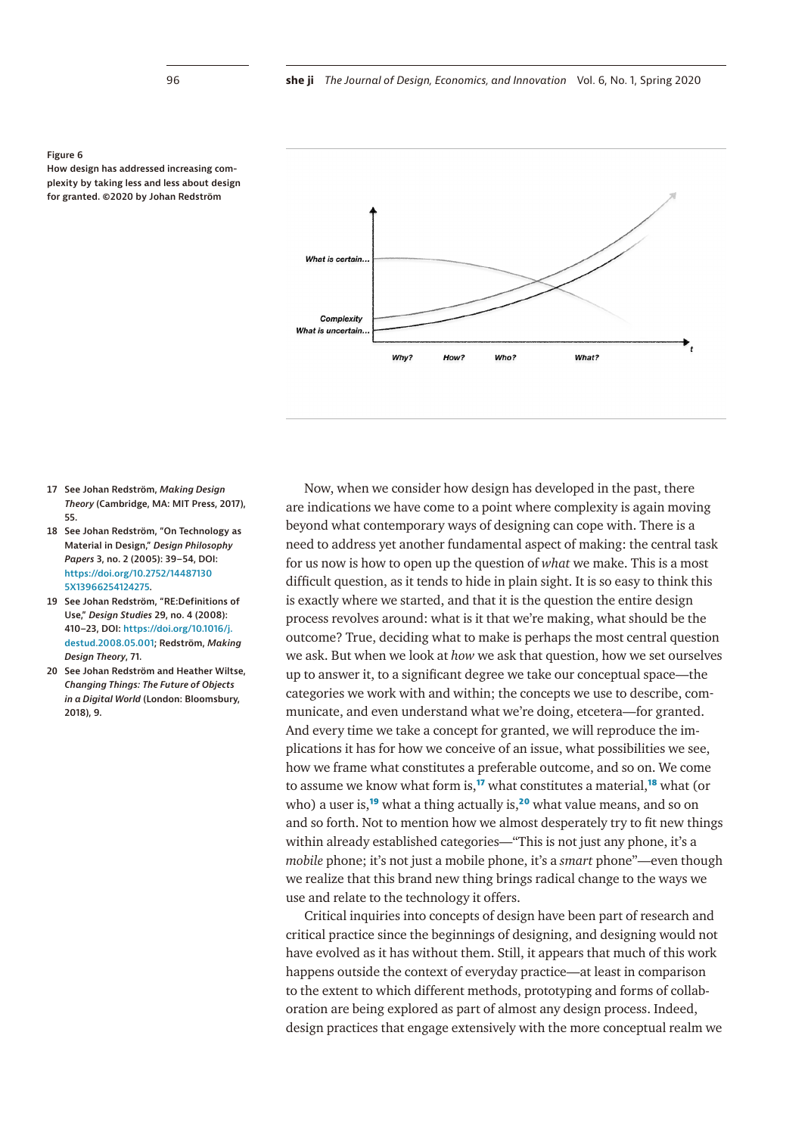

Why?

How?

Who?

What?

<span id="page-13-0"></span>**Figure 6** 

**How design has addressed increasing complexity by taking less and less about design for granted. ©2020 by Johan Redström** 

- <span id="page-13-1"></span>**17 See Johan Redström,** *Making Design Theory* **(Cambridge, MA: MIT Press, 2017), 55.**
- <span id="page-13-2"></span>**18 See Johan Redström, "On Technology as Material in Design,"** *Design Philosophy Papers* **3, no. 2 (2005): 39–54, DOI: [https://doi.org/10.2752/14487130](https://doi.org/10.2752/144871305X13966254124275) [5X13966254124275.](https://doi.org/10.2752/144871305X13966254124275)**
- <span id="page-13-3"></span>**19 See Johan Redström, "RE:Definitions of Use,"** *Design Studies* **29, no. 4 (2008): 410–23, DOI: [https://doi.org/10.1016/j.](https://doi.org/10.1016/j.destud.2008.05.001) [destud.2008.05.001;](https://doi.org/10.1016/j.destud.2008.05.001) Redström,** *Making Design Theory***, 71.**
- <span id="page-13-4"></span>**20 See Johan Redström and Heather Wiltse,**  *Changing Things: The Future of Objects in a Digital World* **(London: Bloomsbury, 2018), 9.**

Now, when we consider how design has developed in the past, there are indications we have come to a point where complexity is again moving beyond what contemporary ways of designing can cope with. There is a need to address yet another fundamental aspect of making: the central task for us now is how to open up the question of *what* we make. This is a most difficult question, as it tends to hide in plain sight. It is so easy to think this is exactly where we started, and that it is the question the entire design process revolves around: what is it that we're making, what should be the outcome? True, deciding what to make is perhaps the most central question we ask. But when we look at *how* we ask that question, how we set ourselves up to answer it, to a significant degree we take our conceptual space—the categories we work with and within; the concepts we use to describe, communicate, and even understand what we're doing, etcetera—for granted. And every time we take a concept for granted, we will reproduce the implications it has for how we conceive of an issue, what possibilities we see, how we frame what constitutes a preferable outcome, and so on. We come to assume we know what form is,**[17](#page-13-1)** what constitutes a material,**[18](#page-13-2)** what (or who) a user is,**[19](#page-13-3)** what a thing actually is,**[20](#page-13-4)** what value means, and so on and so forth. Not to mention how we almost desperately try to fit new things within already established categories—"This is not just any phone, it's a *mobile* phone; it's not just a mobile phone, it's a *smart* phone"—even though we realize that this brand new thing brings radical change to the ways we use and relate to the technology it offers.

Critical inquiries into concepts of design have been part of research and critical practice since the beginnings of designing, and designing would not have evolved as it has without them. Still, it appears that much of this work happens outside the context of everyday practice—at least in comparison to the extent to which different methods, prototyping and forms of collaboration are being explored as part of almost any design process. Indeed, design practices that engage extensively with the more conceptual realm we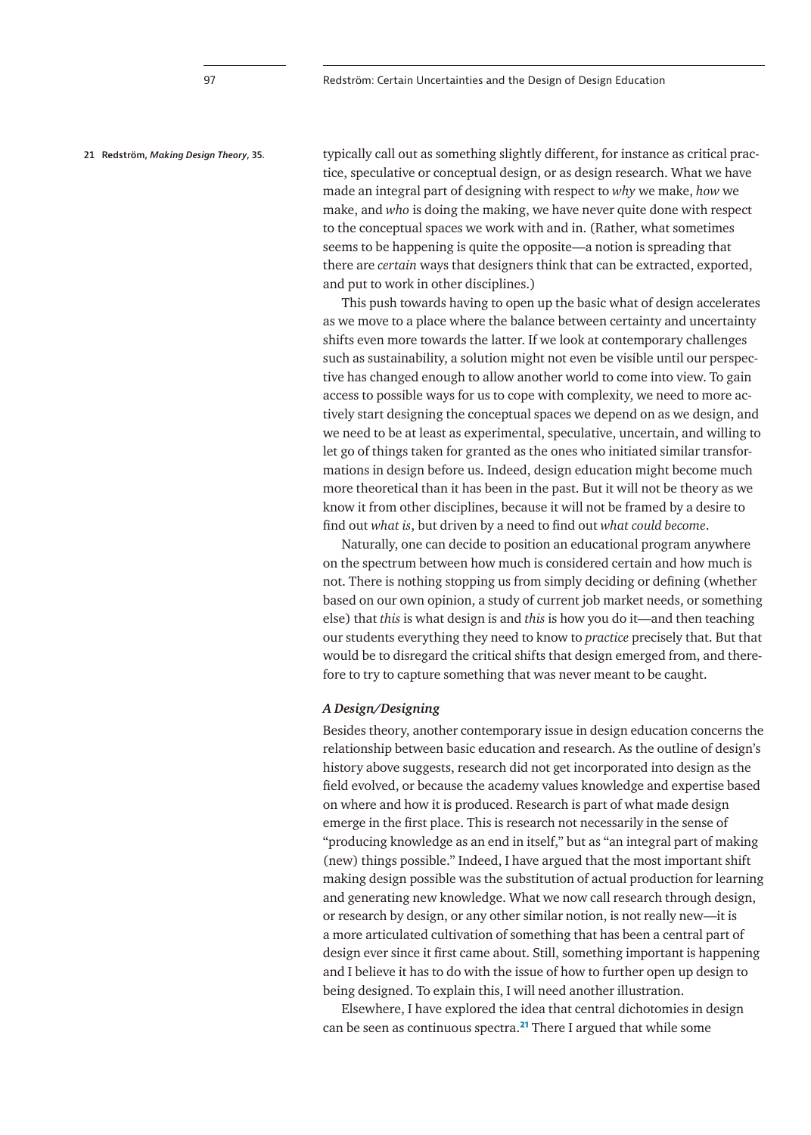<span id="page-14-0"></span>**21 Redström,** *Making Design Theory***, 35.**

typically call out as something slightly different, for instance as critical practice, speculative or conceptual design, or as design research. What we have made an integral part of designing with respect to *why* we make, *how* we make, and *who* is doing the making, we have never quite done with respect to the conceptual spaces we work with and in. (Rather, what sometimes seems to be happening is quite the opposite—a notion is spreading that there are *certain* ways that designers think that can be extracted, exported, and put to work in other disciplines.)

This push towards having to open up the basic what of design accelerates as we move to a place where the balance between certainty and uncertainty shifts even more towards the latter. If we look at contemporary challenges such as sustainability, a solution might not even be visible until our perspective has changed enough to allow another world to come into view. To gain access to possible ways for us to cope with complexity, we need to more actively start designing the conceptual spaces we depend on as we design, and we need to be at least as experimental, speculative, uncertain, and willing to let go of things taken for granted as the ones who initiated similar transformations in design before us. Indeed, design education might become much more theoretical than it has been in the past. But it will not be theory as we know it from other disciplines, because it will not be framed by a desire to find out *what is*, but driven by a need to find out *what could become*.

Naturally, one can decide to position an educational program anywhere on the spectrum between how much is considered certain and how much is not. There is nothing stopping us from simply deciding or defining (whether based on our own opinion, a study of current job market needs, or something else) that *this* is what design is and *this* is how you do it—and then teaching our students everything they need to know to *practice* precisely that. But that would be to disregard the critical shifts that design emerged from, and therefore to try to capture something that was never meant to be caught.

## *A Design/Designing*

Besides theory, another contemporary issue in design education concerns the relationship between basic education and research. As the outline of design's history above suggests, research did not get incorporated into design as the field evolved, or because the academy values knowledge and expertise based on where and how it is produced. Research is part of what made design emerge in the first place. This is research not necessarily in the sense of "producing knowledge as an end in itself," but as "an integral part of making (new) things possible." Indeed, I have argued that the most important shift making design possible was the substitution of actual production for learning and generating new knowledge. What we now call research through design, or research by design, or any other similar notion, is not really new—it is a more articulated cultivation of something that has been a central part of design ever since it first came about. Still, something important is happening and I believe it has to do with the issue of how to further open up design to being designed. To explain this, I will need another illustration.

Elsewhere, I have explored the idea that central dichotomies in design can be seen as continuous spectra.**[21](#page-14-0)** There I argued that while some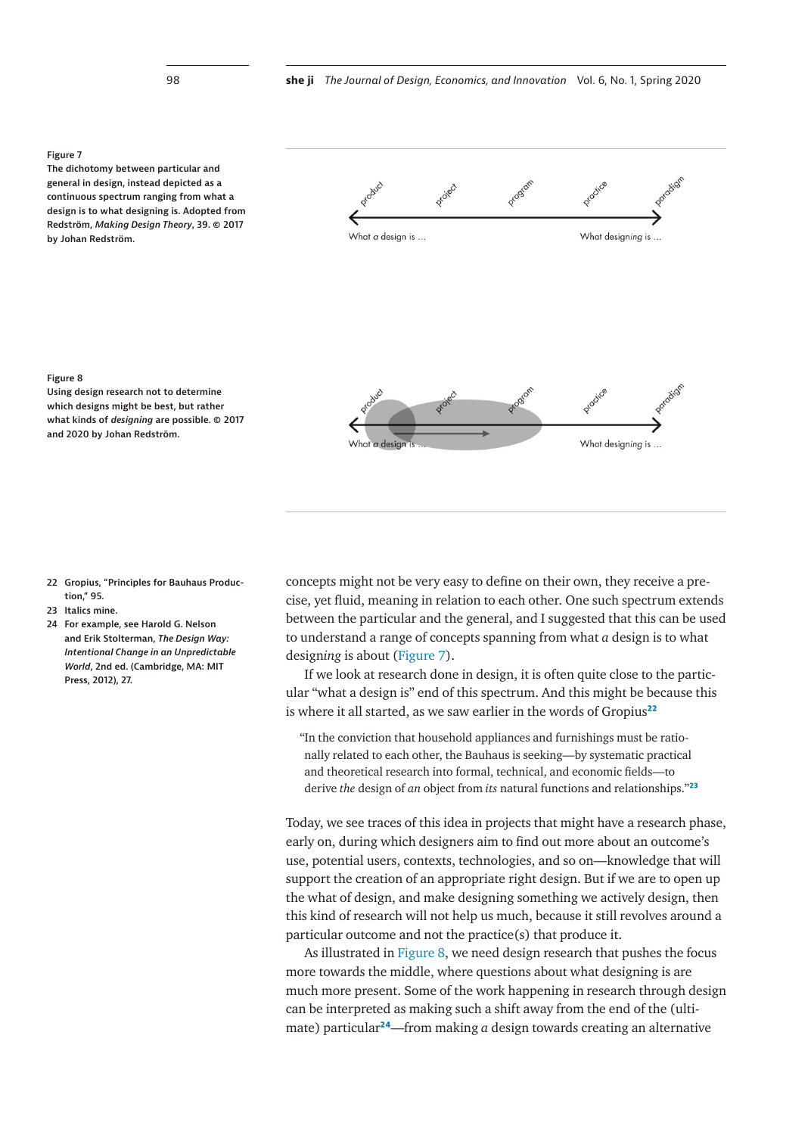<span id="page-15-0"></span>**The dichotomy between particular and general in design, instead depicted as a continuous spectrum ranging from what a design is to what designing is. Adopted from Redström,** *Making Design Theory***, 39. © 2017 by Johan Redström.** 



<span id="page-15-3"></span>**Figure 8** 

**Using design research not to determine which designs might be best, but rather what kinds of** *designing* **are possible. © 2017 and 2020 by Johan Redström.** 

- <span id="page-15-1"></span>**22 Gropius, "Principles for Bauhaus Production," 95.**
- <span id="page-15-2"></span>**23 Italics mine.**
- <span id="page-15-4"></span>**24 For example, see Harold G. Nelson and Erik Stolterman,** *The Design Way: Intentional Change in an Unpredictable World***, 2nd ed. (Cambridge, MA: MIT Press, 2012), 27.**

concepts might not be very easy to define on their own, they receive a precise, yet fluid, meaning in relation to each other. One such spectrum extends between the particular and the general, and I suggested that this can be used to understand a range of concepts spanning from what *a* design is to what design*ing* is about ([Figure 7\)](#page-15-0).

If we look at research done in design, it is often quite close to the particular "what a design is" end of this spectrum. And this might be because this is where it all started, as we saw earlier in the words of Gropius**[22](#page-15-1)**

"In the conviction that household appliances and furnishings must be rationally related to each other, the Bauhaus is seeking—by systematic practical and theoretical research into formal, technical, and economic fields—to derive *the* design of *an* object from *its* natural functions and relationships."**[23](#page-15-2)**

Today, we see traces of this idea in projects that might have a research phase, early on, during which designers aim to find out more about an outcome's use, potential users, contexts, technologies, and so on—knowledge that will support the creation of an appropriate right design. But if we are to open up the what of design, and make designing something we actively design, then this kind of research will not help us much, because it still revolves around a particular outcome and not the practice(s) that produce it.

As illustrated in [Figure 8](#page-15-3), we need design research that pushes the focus more towards the middle, where questions about what designing is are much more present. Some of the work happening in research through design can be interpreted as making such a shift away from the end of the (ultimate) particular**[24](#page-15-4)**—from making *a* design towards creating an alternative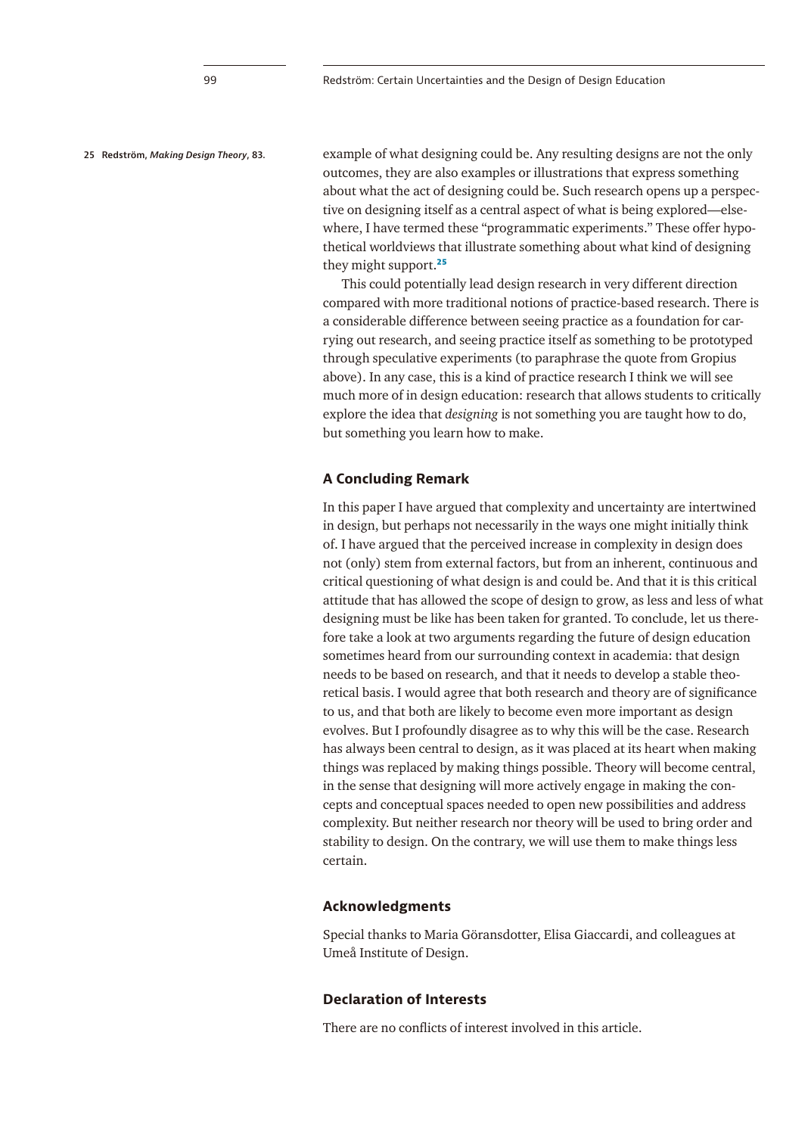<span id="page-16-0"></span>**25 Redström,** *Making Design Theory***, 83.**

example of what designing could be. Any resulting designs are not the only outcomes, they are also examples or illustrations that express something about what the act of designing could be. Such research opens up a perspective on designing itself as a central aspect of what is being explored—elsewhere, I have termed these "programmatic experiments." These offer hypothetical worldviews that illustrate something about what kind of designing they might support.**[25](#page-16-0)**

This could potentially lead design research in very different direction compared with more traditional notions of practice-based research. There is a considerable difference between seeing practice as a foundation for carrying out research, and seeing practice itself as something to be prototyped through speculative experiments (to paraphrase the quote from Gropius above). In any case, this is a kind of practice research I think we will see much more of in design education: research that allows students to critically explore the idea that *designing* is not something you are taught how to do, but something you learn how to make.

# **A Concluding Remark**

In this paper I have argued that complexity and uncertainty are intertwined in design, but perhaps not necessarily in the ways one might initially think of. I have argued that the perceived increase in complexity in design does not (only) stem from external factors, but from an inherent, continuous and critical questioning of what design is and could be. And that it is this critical attitude that has allowed the scope of design to grow, as less and less of what designing must be like has been taken for granted. To conclude, let us therefore take a look at two arguments regarding the future of design education sometimes heard from our surrounding context in academia: that design needs to be based on research, and that it needs to develop a stable theoretical basis. I would agree that both research and theory are of significance to us, and that both are likely to become even more important as design evolves. But I profoundly disagree as to why this will be the case. Research has always been central to design, as it was placed at its heart when making things was replaced by making things possible. Theory will become central, in the sense that designing will more actively engage in making the concepts and conceptual spaces needed to open new possibilities and address complexity. But neither research nor theory will be used to bring order and stability to design. On the contrary, we will use them to make things less certain.

# **Acknowledgments**

Special thanks to Maria Göransdotter, Elisa Giaccardi, and colleagues at Umeå Institute of Design.

# **Declaration of Interests**

There are no conflicts of interest involved in this article.